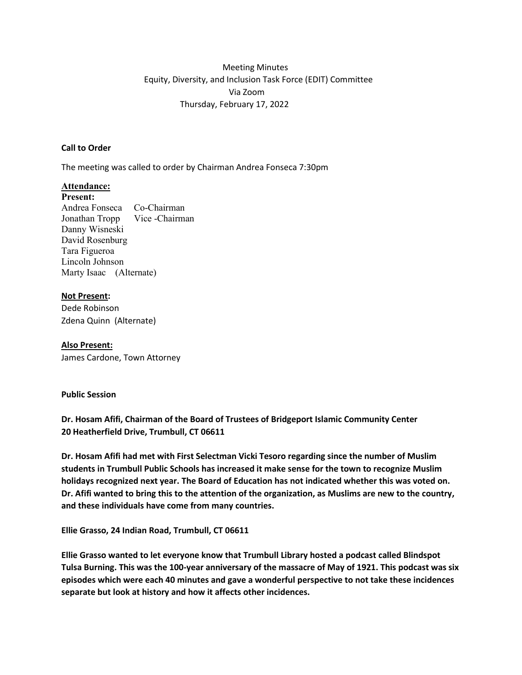# Meeting Minutes Equity, Diversity, and Inclusion Task Force (EDIT) Committee Via Zoom Thursday, February 17, 2022

## **Call to Order**

The meeting was called to order by Chairman Andrea Fonseca 7:30pm

### **Attendance:**

**Present:** Andrea Fonseca Co-Chairman Jonathan Tropp Vice -Chairman Danny Wisneski David Rosenburg Tara Figueroa Lincoln Johnson Marty Isaac (Alternate)

### **Not Present:**

Dede Robinson Zdena Quinn (Alternate)

#### **Also Present:**

James Cardone, Town Attorney

#### **Public Session**

**Dr. Hosam Afifi, Chairman of the Board of Trustees of Bridgeport Islamic Community Center 20 Heatherfield Drive, Trumbull, CT 06611** 

**Dr. Hosam Afifi had met with First Selectman Vicki Tesoro regarding since the number of Muslim students in Trumbull Public Schools has increased it make sense for the town to recognize Muslim holidays recognized next year. The Board of Education has not indicated whether this was voted on. Dr. Afifi wanted to bring this to the attention of the organization, as Muslims are new to the country, and these individuals have come from many countries.** 

**Ellie Grasso, 24 Indian Road, Trumbull, CT 06611** 

**Ellie Grasso wanted to let everyone know that Trumbull Library hosted a podcast called Blindspot Tulsa Burning. This was the 100-year anniversary of the massacre of May of 1921. This podcast was six episodes which were each 40 minutes and gave a wonderful perspective to not take these incidences separate but look at history and how it affects other incidences.**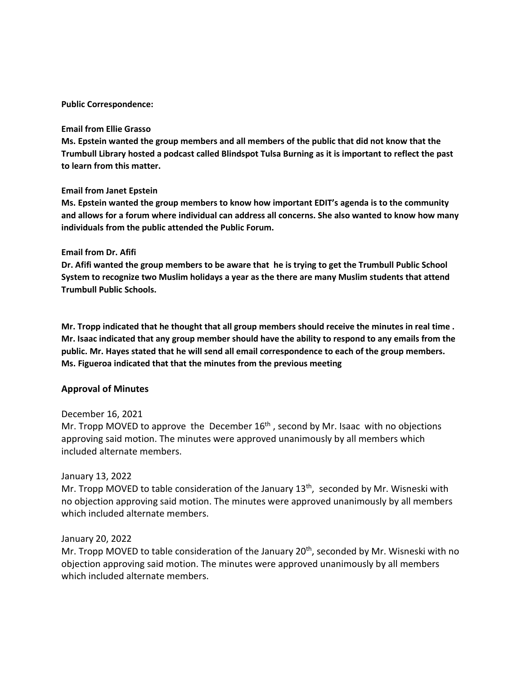#### **Public Correspondence:**

#### **Email from Ellie Grasso**

**Ms. Epstein wanted the group members and all members of the public that did not know that the Trumbull Library hosted a podcast called Blindspot Tulsa Burning as it is important to reflect the past to learn from this matter.** 

### **Email from Janet Epstein**

**Ms. Epstein wanted the group members to know how important EDIT's agenda is to the community and allows for a forum where individual can address all concerns. She also wanted to know how many individuals from the public attended the Public Forum.** 

### **Email from Dr. Afifi**

**Dr. Afifi wanted the group members to be aware that he is trying to get the Trumbull Public School System to recognize two Muslim holidays a year as the there are many Muslim students that attend Trumbull Public Schools.** 

**Mr. Tropp indicated that he thought that all group members should receive the minutes in real time . Mr. Isaac indicated that any group member should have the ability to respond to any emails from the public. Mr. Hayes stated that he will send all email correspondence to each of the group members. Ms. Figueroa indicated that that the minutes from the previous meeting** 

## **Approval of Minutes**

## December 16, 2021

Mr. Tropp MOVED to approve the December  $16<sup>th</sup>$ , second by Mr. Isaac with no objections approving said motion. The minutes were approved unanimously by all members which included alternate members.

## January 13, 2022

Mr. Tropp MOVED to table consideration of the January  $13<sup>th</sup>$ , seconded by Mr. Wisneski with no objection approving said motion. The minutes were approved unanimously by all members which included alternate members.

## January 20, 2022

Mr. Tropp MOVED to table consideration of the January 20<sup>th</sup>, seconded by Mr. Wisneski with no objection approving said motion. The minutes were approved unanimously by all members which included alternate members.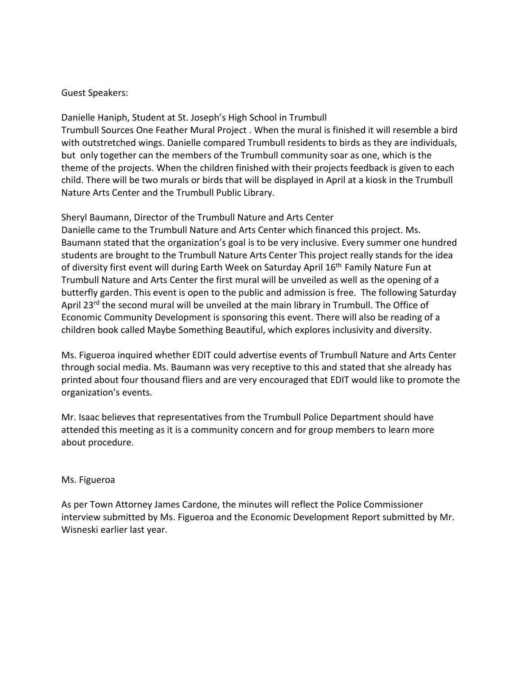# Guest Speakers:

Danielle Haniph, Student at St. Joseph's High School in Trumbull Trumbull Sources One Feather Mural Project . When the mural is finished it will resemble a bird with outstretched wings. Danielle compared Trumbull residents to birds as they are individuals, but only together can the members of the Trumbull community soar as one, which is the theme of the projects. When the children finished with their projects feedback is given to each child. There will be two murals or birds that will be displayed in April at a kiosk in the Trumbull Nature Arts Center and the Trumbull Public Library.

Sheryl Baumann, Director of the Trumbull Nature and Arts Center Danielle came to the Trumbull Nature and Arts Center which financed this project. Ms. Baumann stated that the organization's goal is to be very inclusive. Every summer one hundred students are brought to the Trumbull Nature Arts Center This project really stands for the idea of diversity first event will during Earth Week on Saturday April 16<sup>th</sup> Family Nature Fun at Trumbull Nature and Arts Center the first mural will be unveiled as well as the opening of a butterfly garden. This event is open to the public and admission is free. The following Saturday April 23<sup>rd</sup> the second mural will be unveiled at the main library in Trumbull. The Office of Economic Community Development is sponsoring this event. There will also be reading of a children book called Maybe Something Beautiful, which explores inclusivity and diversity.

Ms. Figueroa inquired whether EDIT could advertise events of Trumbull Nature and Arts Center through social media. Ms. Baumann was very receptive to this and stated that she already has printed about four thousand fliers and are very encouraged that EDIT would like to promote the organization's events.

Mr. Isaac believes that representatives from the Trumbull Police Department should have attended this meeting as it is a community concern and for group members to learn more about procedure.

# Ms. Figueroa

As per Town Attorney James Cardone, the minutes will reflect the Police Commissioner interview submitted by Ms. Figueroa and the Economic Development Report submitted by Mr. Wisneski earlier last year.